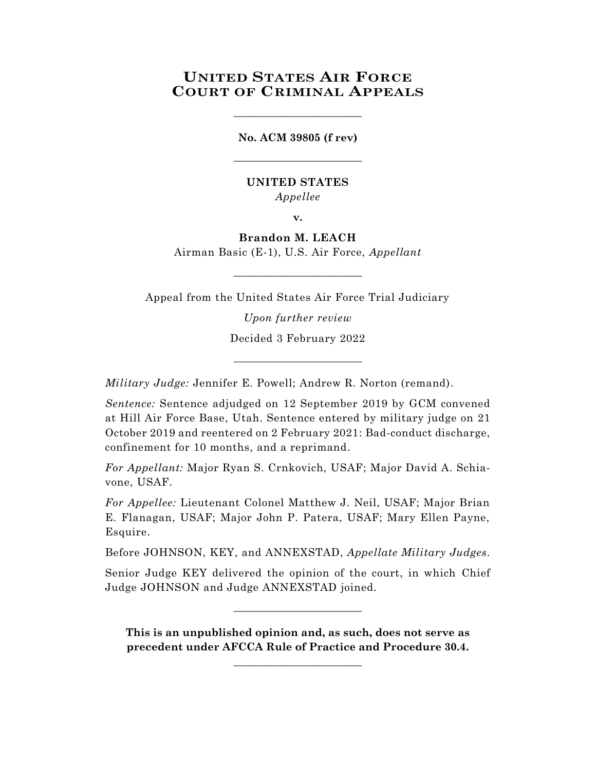# **UNITED STATES AIR FORCE COURT OF CRIMINAL APPEALS**

**No. ACM 39805 (f rev)** \_\_\_\_\_\_\_\_\_\_\_\_\_\_\_\_\_\_\_\_\_\_\_\_

\_\_\_\_\_\_\_\_\_\_\_\_\_\_\_\_\_\_\_\_\_\_\_\_

# **UNITED STATES** *Appellee*

**v.**

# **Brandon M. LEACH**

Airman Basic (E-1), U.S. Air Force, *Appellant*  $\_$ 

Appeal from the United States Air Force Trial Judiciary

*Upon further review* Decided 3 February 2022

\_\_\_\_\_\_\_\_\_\_\_\_\_\_\_\_\_\_\_\_\_\_\_\_

*Military Judge:* Jennifer E. Powell; Andrew R. Norton (remand).

*Sentence:* Sentence adjudged on 12 September 2019 by GCM convened at Hill Air Force Base, Utah. Sentence entered by military judge on 21 October 2019 and reentered on 2 February 2021: Bad-conduct discharge, confinement for 10 months, and a reprimand.

*For Appellant:* Major Ryan S. Crnkovich, USAF; Major David A. Schiavone, USAF.

*For Appellee:* Lieutenant Colonel Matthew J. Neil, USAF; Major Brian E. Flanagan, USAF; Major John P. Patera, USAF; Mary Ellen Payne, Esquire.

Before JOHNSON, KEY, and ANNEXSTAD, *Appellate Military Judges.*

Senior Judge KEY delivered the opinion of the court, in which Chief Judge JOHNSON and Judge ANNEXSTAD joined.

 $\_$ 

**This is an unpublished opinion and, as such, does not serve as precedent under AFCCA Rule of Practice and Procedure 30.4.** 

**\_\_\_\_\_\_\_\_\_\_\_\_\_\_\_\_\_\_\_\_\_\_\_\_**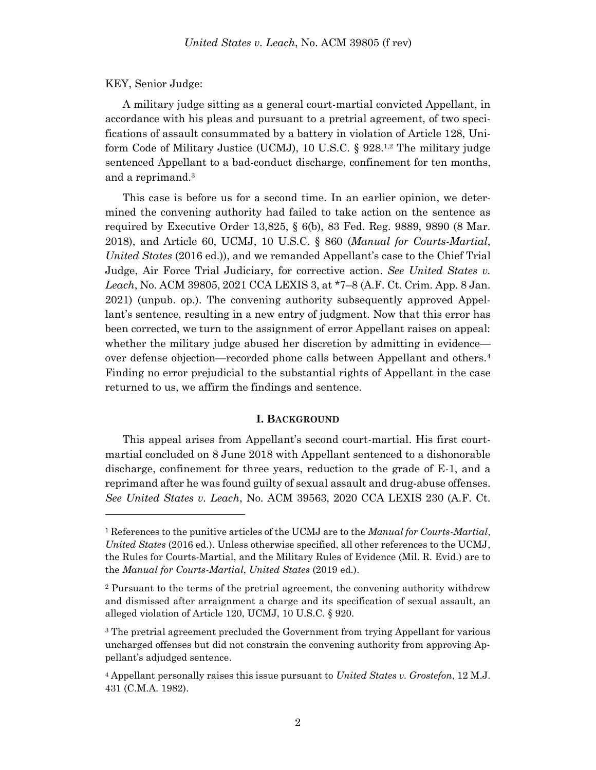### KEY, Senior Judge:

l

A military judge sitting as a general court-martial convicted Appellant, in accordance with his pleas and pursuant to a pretrial agreement, of two specifications of assault consummated by a battery in violation of Article 128, Uniform Code of Military Justice (UCMJ), 10 U.S.C. § 928.<sup>1,2</sup> The military judge sentenced Appellant to a bad-conduct discharge, confinement for ten months, and a reprimand. 3

This case is before us for a second time. In an earlier opinion, we determined the convening authority had failed to take action on the sentence as required by Executive Order 13,825, § 6(b), 83 Fed. Reg. 9889, 9890 (8 Mar. 2018), and Article 60, UCMJ, 10 U.S.C. § 860 (*Manual for Courts-Martial*, *United States* (2016 ed.)), and we remanded Appellant's case to the Chief Trial Judge, Air Force Trial Judiciary, for corrective action. *See United States v. Leach*, No. ACM 39805, 2021 CCA LEXIS 3, at \*7–8 (A.F. Ct. Crim. App. 8 Jan. 2021) (unpub. op.). The convening authority subsequently approved Appellant's sentence, resulting in a new entry of judgment. Now that this error has been corrected, we turn to the assignment of error Appellant raises on appeal: whether the military judge abused her discretion by admitting in evidence over defense objection—recorded phone calls between Appellant and others.<sup>4</sup> Finding no error prejudicial to the substantial rights of Appellant in the case returned to us, we affirm the findings and sentence.

### **I. BACKGROUND**

This appeal arises from Appellant's second court-martial. His first courtmartial concluded on 8 June 2018 with Appellant sentenced to a dishonorable discharge, confinement for three years, reduction to the grade of E-1, and a reprimand after he was found guilty of sexual assault and drug-abuse offenses. *See United States v. Leach*, No. ACM 39563, 2020 CCA LEXIS 230 (A.F. Ct.

<sup>1</sup> References to the punitive articles of the UCMJ are to the *Manual for Courts-Martial*, *United States* (2016 ed.). Unless otherwise specified, all other references to the UCMJ, the Rules for Courts-Martial, and the Military Rules of Evidence (Mil. R. Evid.) are to the *Manual for Courts-Martial*, *United States* (2019 ed.).

<sup>2</sup> Pursuant to the terms of the pretrial agreement, the convening authority withdrew and dismissed after arraignment a charge and its specification of sexual assault, an alleged violation of Article 120, UCMJ, 10 U.S.C. § 920.

<sup>&</sup>lt;sup>3</sup> The pretrial agreement precluded the Government from trying Appellant for various uncharged offenses but did not constrain the convening authority from approving Appellant's adjudged sentence.

<sup>4</sup> Appellant personally raises this issue pursuant to *United States v. Grostefon*, 12 M.J. 431 (C.M.A. 1982).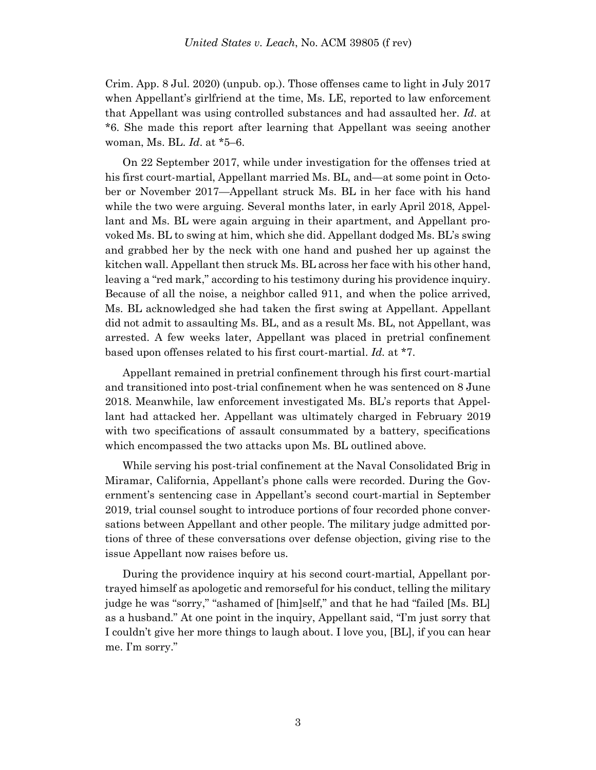Crim. App. 8 Jul. 2020) (unpub. op.). Those offenses came to light in July 2017 when Appellant's girlfriend at the time, Ms. LE, reported to law enforcement that Appellant was using controlled substances and had assaulted her. *Id*. at \*6. She made this report after learning that Appellant was seeing another woman, Ms. BL. *Id*. at \*5–6.

On 22 September 2017, while under investigation for the offenses tried at his first court-martial, Appellant married Ms. BL, and—at some point in October or November 2017—Appellant struck Ms. BL in her face with his hand while the two were arguing. Several months later, in early April 2018, Appellant and Ms. BL were again arguing in their apartment, and Appellant provoked Ms. BL to swing at him, which she did. Appellant dodged Ms. BL's swing and grabbed her by the neck with one hand and pushed her up against the kitchen wall. Appellant then struck Ms. BL across her face with his other hand, leaving a "red mark," according to his testimony during his providence inquiry. Because of all the noise, a neighbor called 911, and when the police arrived, Ms. BL acknowledged she had taken the first swing at Appellant. Appellant did not admit to assaulting Ms. BL, and as a result Ms. BL, not Appellant, was arrested. A few weeks later, Appellant was placed in pretrial confinement based upon offenses related to his first court-martial. *Id.* at \*7.

Appellant remained in pretrial confinement through his first court-martial and transitioned into post-trial confinement when he was sentenced on 8 June 2018. Meanwhile, law enforcement investigated Ms. BL's reports that Appellant had attacked her. Appellant was ultimately charged in February 2019 with two specifications of assault consummated by a battery, specifications which encompassed the two attacks upon Ms. BL outlined above.

While serving his post-trial confinement at the Naval Consolidated Brig in Miramar, California, Appellant's phone calls were recorded. During the Government's sentencing case in Appellant's second court-martial in September 2019, trial counsel sought to introduce portions of four recorded phone conversations between Appellant and other people. The military judge admitted portions of three of these conversations over defense objection, giving rise to the issue Appellant now raises before us.

During the providence inquiry at his second court-martial, Appellant portrayed himself as apologetic and remorseful for his conduct, telling the military judge he was "sorry," "ashamed of [him]self," and that he had "failed [Ms. BL] as a husband." At one point in the inquiry, Appellant said, "I'm just sorry that I couldn't give her more things to laugh about. I love you, [BL], if you can hear me. I'm sorry."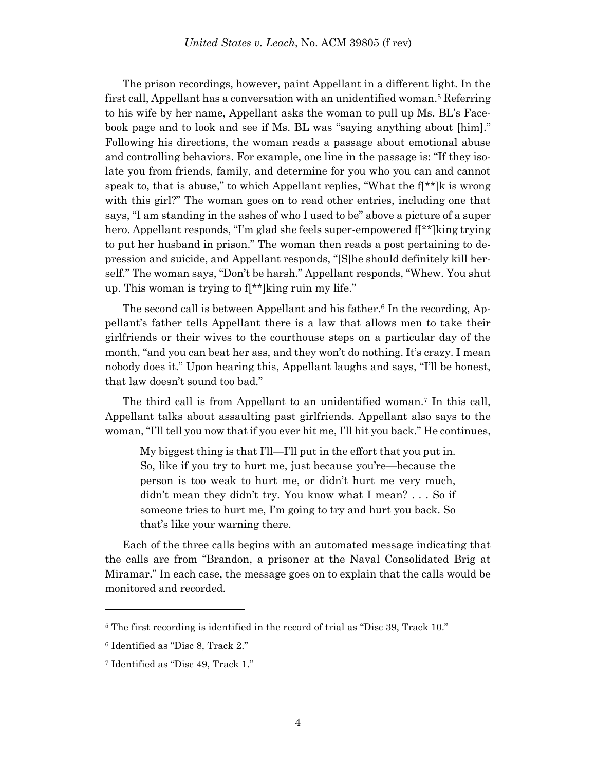The prison recordings, however, paint Appellant in a different light. In the first call, Appellant has a conversation with an unidentified woman.<sup>5</sup> Referring to his wife by her name, Appellant asks the woman to pull up Ms. BL's Facebook page and to look and see if Ms. BL was "saying anything about [him]." Following his directions, the woman reads a passage about emotional abuse and controlling behaviors. For example, one line in the passage is: "If they isolate you from friends, family, and determine for you who you can and cannot speak to, that is abuse," to which Appellant replies, "What the  $f[x^*]$ k is wrong with this girl?" The woman goes on to read other entries, including one that says, "I am standing in the ashes of who I used to be" above a picture of a super hero. Appellant responds, "I'm glad she feels super-empowered f[\*\*]king trying to put her husband in prison." The woman then reads a post pertaining to depression and suicide, and Appellant responds, "[S]he should definitely kill herself." The woman says, "Don't be harsh." Appellant responds, "Whew. You shut up. This woman is trying to f[\*\*]king ruin my life."

The second call is between Appellant and his father.<sup>6</sup> In the recording, Appellant's father tells Appellant there is a law that allows men to take their girlfriends or their wives to the courthouse steps on a particular day of the month, "and you can beat her ass, and they won't do nothing. It's crazy. I mean nobody does it." Upon hearing this, Appellant laughs and says, "I'll be honest, that law doesn't sound too bad."

The third call is from Appellant to an unidentified woman.<sup>7</sup> In this call, Appellant talks about assaulting past girlfriends. Appellant also says to the woman, "I'll tell you now that if you ever hit me, I'll hit you back." He continues,

My biggest thing is that I'll—I'll put in the effort that you put in. So, like if you try to hurt me, just because you're—because the person is too weak to hurt me, or didn't hurt me very much, didn't mean they didn't try. You know what I mean? . . . So if someone tries to hurt me, I'm going to try and hurt you back. So that's like your warning there.

Each of the three calls begins with an automated message indicating that the calls are from "Brandon, a prisoner at the Naval Consolidated Brig at Miramar." In each case, the message goes on to explain that the calls would be monitored and recorded.

l

<sup>&</sup>lt;sup>5</sup> The first recording is identified in the record of trial as "Disc 39, Track 10."

<sup>6</sup> Identified as "Disc 8, Track 2."

<sup>7</sup> Identified as "Disc 49, Track 1."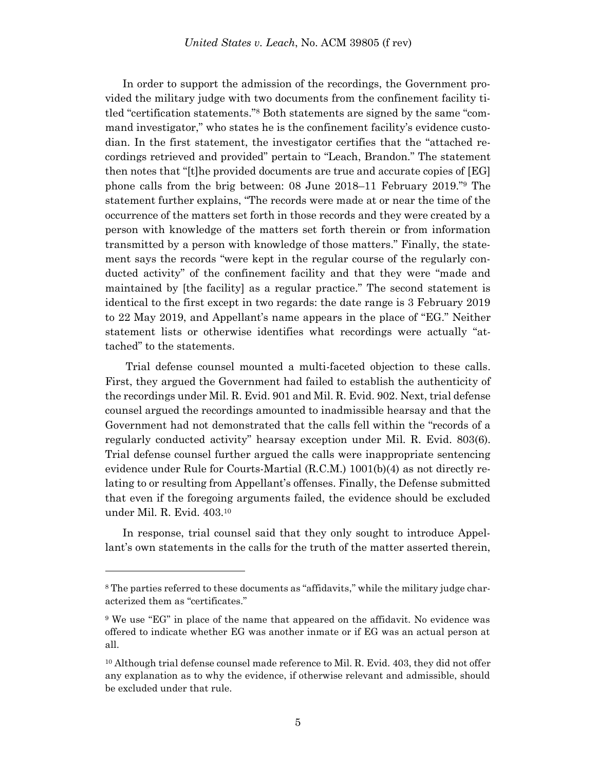In order to support the admission of the recordings, the Government provided the military judge with two documents from the confinement facility titled "certification statements."<sup>8</sup> Both statements are signed by the same "command investigator," who states he is the confinement facility's evidence custodian. In the first statement, the investigator certifies that the "attached recordings retrieved and provided" pertain to "Leach, Brandon." The statement then notes that "[t]he provided documents are true and accurate copies of [EG] phone calls from the brig between: 08 June 2018–11 February 2019."<sup>9</sup> The statement further explains, "The records were made at or near the time of the occurrence of the matters set forth in those records and they were created by a person with knowledge of the matters set forth therein or from information transmitted by a person with knowledge of those matters." Finally, the statement says the records "were kept in the regular course of the regularly conducted activity" of the confinement facility and that they were "made and maintained by [the facility] as a regular practice." The second statement is identical to the first except in two regards: the date range is 3 February 2019 to 22 May 2019, and Appellant's name appears in the place of "EG." Neither statement lists or otherwise identifies what recordings were actually "attached" to the statements.

Trial defense counsel mounted a multi-faceted objection to these calls. First, they argued the Government had failed to establish the authenticity of the recordings under Mil. R. Evid. 901 and Mil. R. Evid. 902. Next, trial defense counsel argued the recordings amounted to inadmissible hearsay and that the Government had not demonstrated that the calls fell within the "records of a regularly conducted activity" hearsay exception under Mil. R. Evid. 803(6). Trial defense counsel further argued the calls were inappropriate sentencing evidence under Rule for Courts-Martial (R.C.M.) 1001(b)(4) as not directly relating to or resulting from Appellant's offenses. Finally, the Defense submitted that even if the foregoing arguments failed, the evidence should be excluded under Mil. R. Evid. 403. 10

In response, trial counsel said that they only sought to introduce Appellant's own statements in the calls for the truth of the matter asserted therein,

l

<sup>&</sup>lt;sup>8</sup> The parties referred to these documents as "affidavits," while the military judge characterized them as "certificates."

<sup>9</sup> We use "EG" in place of the name that appeared on the affidavit. No evidence was offered to indicate whether EG was another inmate or if EG was an actual person at all.

<sup>&</sup>lt;sup>10</sup> Although trial defense counsel made reference to Mil. R. Evid. 403, they did not offer any explanation as to why the evidence, if otherwise relevant and admissible, should be excluded under that rule.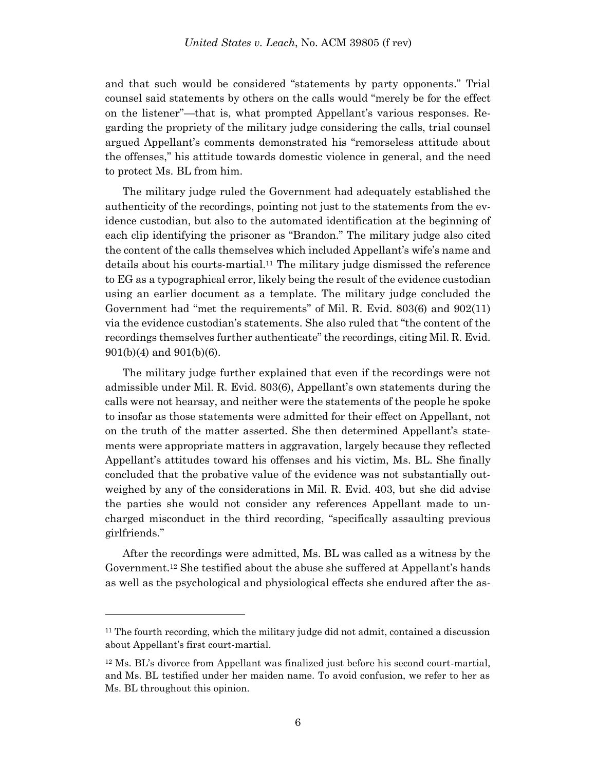and that such would be considered "statements by party opponents." Trial counsel said statements by others on the calls would "merely be for the effect on the listener"—that is, what prompted Appellant's various responses. Regarding the propriety of the military judge considering the calls, trial counsel argued Appellant's comments demonstrated his "remorseless attitude about the offenses," his attitude towards domestic violence in general, and the need to protect Ms. BL from him.

The military judge ruled the Government had adequately established the authenticity of the recordings, pointing not just to the statements from the evidence custodian, but also to the automated identification at the beginning of each clip identifying the prisoner as "Brandon." The military judge also cited the content of the calls themselves which included Appellant's wife's name and details about his courts-martial.<sup>11</sup> The military judge dismissed the reference to EG as a typographical error, likely being the result of the evidence custodian using an earlier document as a template. The military judge concluded the Government had "met the requirements" of Mil. R. Evid. 803(6) and 902(11) via the evidence custodian's statements. She also ruled that "the content of the recordings themselves further authenticate" the recordings, citing Mil. R. Evid. 901(b)(4) and 901(b)(6).

The military judge further explained that even if the recordings were not admissible under Mil. R. Evid. 803(6), Appellant's own statements during the calls were not hearsay, and neither were the statements of the people he spoke to insofar as those statements were admitted for their effect on Appellant, not on the truth of the matter asserted. She then determined Appellant's statements were appropriate matters in aggravation, largely because they reflected Appellant's attitudes toward his offenses and his victim, Ms. BL. She finally concluded that the probative value of the evidence was not substantially outweighed by any of the considerations in Mil. R. Evid. 403, but she did advise the parties she would not consider any references Appellant made to uncharged misconduct in the third recording, "specifically assaulting previous girlfriends."

After the recordings were admitted, Ms. BL was called as a witness by the Government.<sup>12</sup> She testified about the abuse she suffered at Appellant's hands as well as the psychological and physiological effects she endured after the as-

l

 $11$  The fourth recording, which the military judge did not admit, contained a discussion about Appellant's first court-martial.

<sup>12</sup> Ms. BL's divorce from Appellant was finalized just before his second court-martial, and Ms. BL testified under her maiden name. To avoid confusion, we refer to her as Ms. BL throughout this opinion.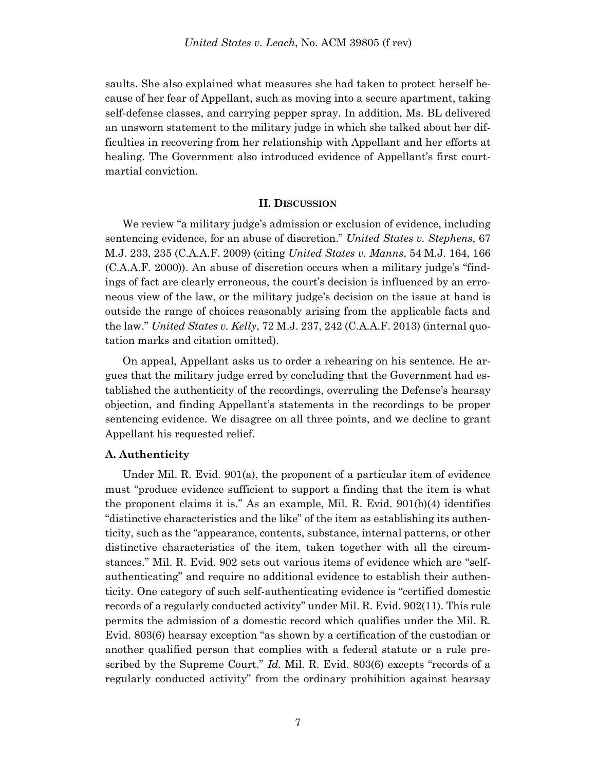saults. She also explained what measures she had taken to protect herself because of her fear of Appellant, such as moving into a secure apartment, taking self-defense classes, and carrying pepper spray. In addition, Ms. BL delivered an unsworn statement to the military judge in which she talked about her difficulties in recovering from her relationship with Appellant and her efforts at healing. The Government also introduced evidence of Appellant's first courtmartial conviction.

#### **II. DISCUSSION**

We review "a military judge's admission or exclusion of evidence, including sentencing evidence, for an abuse of discretion." *United States v. Stephens*, 67 M.J. 233, 235 (C.A.A.F. 2009) (citing *United States v. Manns*, 54 M.J. 164, 166 (C.A.A.F. 2000)). An abuse of discretion occurs when a military judge's "findings of fact are clearly erroneous, the court's decision is influenced by an erroneous view of the law, or the military judge's decision on the issue at hand is outside the range of choices reasonably arising from the applicable facts and the law." *United States v. Kelly*, 72 M.J. 237, 242 (C.A.A.F. 2013) (internal quotation marks and citation omitted).

On appeal, Appellant asks us to order a rehearing on his sentence. He argues that the military judge erred by concluding that the Government had established the authenticity of the recordings, overruling the Defense's hearsay objection, and finding Appellant's statements in the recordings to be proper sentencing evidence. We disagree on all three points, and we decline to grant Appellant his requested relief.

## **A. Authenticity**

Under Mil. R. Evid. 901(a), the proponent of a particular item of evidence must "produce evidence sufficient to support a finding that the item is what the proponent claims it is." As an example, Mil. R. Evid. 901(b)(4) identifies "distinctive characteristics and the like" of the item as establishing its authenticity, such as the "appearance, contents, substance, internal patterns, or other distinctive characteristics of the item, taken together with all the circumstances." Mil. R. Evid. 902 sets out various items of evidence which are "selfauthenticating" and require no additional evidence to establish their authenticity. One category of such self-authenticating evidence is "certified domestic records of a regularly conducted activity" under Mil. R. Evid. 902(11). This rule permits the admission of a domestic record which qualifies under the Mil. R. Evid. 803(6) hearsay exception "as shown by a certification of the custodian or another qualified person that complies with a federal statute or a rule prescribed by the Supreme Court." *Id.* Mil. R. Evid. 803(6) excepts "records of a regularly conducted activity" from the ordinary prohibition against hearsay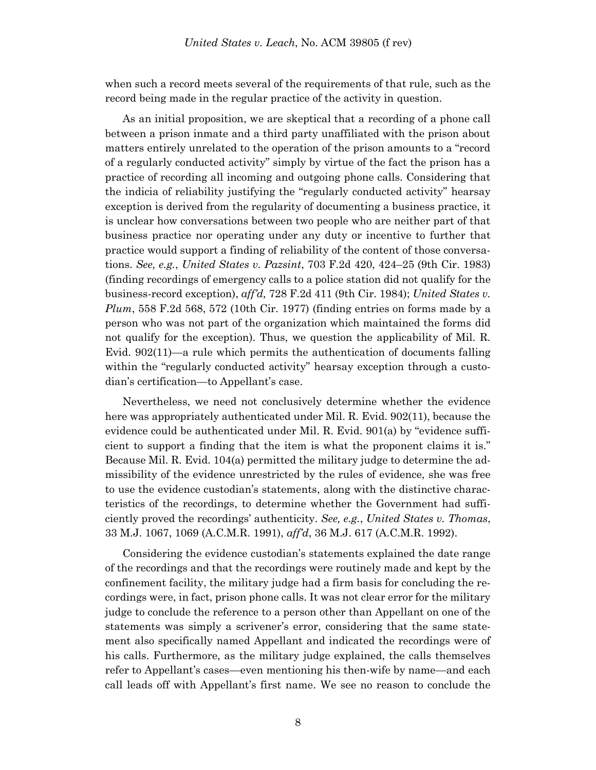when such a record meets several of the requirements of that rule, such as the record being made in the regular practice of the activity in question.

As an initial proposition, we are skeptical that a recording of a phone call between a prison inmate and a third party unaffiliated with the prison about matters entirely unrelated to the operation of the prison amounts to a "record of a regularly conducted activity" simply by virtue of the fact the prison has a practice of recording all incoming and outgoing phone calls. Considering that the indicia of reliability justifying the "regularly conducted activity" hearsay exception is derived from the regularity of documenting a business practice, it is unclear how conversations between two people who are neither part of that business practice nor operating under any duty or incentive to further that practice would support a finding of reliability of the content of those conversations. *See, e.g.*, *United States v. Pazsint*, 703 F.2d 420, 424–25 (9th Cir. 1983) (finding recordings of emergency calls to a police station did not qualify for the business-record exception), *aff'd,* 728 F.2d 411 (9th Cir. 1984); *United States v. Plum*, 558 F.2d 568, 572 (10th Cir. 1977) (finding entries on forms made by a person who was not part of the organization which maintained the forms did not qualify for the exception). Thus, we question the applicability of Mil. R. Evid. 902(11)—a rule which permits the authentication of documents falling within the "regularly conducted activity" hearsay exception through a custodian's certification—to Appellant's case.

Nevertheless, we need not conclusively determine whether the evidence here was appropriately authenticated under Mil. R. Evid. 902(11), because the evidence could be authenticated under Mil. R. Evid. 901(a) by "evidence sufficient to support a finding that the item is what the proponent claims it is." Because Mil. R. Evid. 104(a) permitted the military judge to determine the admissibility of the evidence unrestricted by the rules of evidence, she was free to use the evidence custodian's statements, along with the distinctive characteristics of the recordings, to determine whether the Government had sufficiently proved the recordings' authenticity. *See, e.g.*, *United States v. Thomas*, 33 M.J. 1067, 1069 (A.C.M.R. 1991), *aff'd*, 36 M.J. 617 (A.C.M.R. 1992).

Considering the evidence custodian's statements explained the date range of the recordings and that the recordings were routinely made and kept by the confinement facility, the military judge had a firm basis for concluding the recordings were, in fact, prison phone calls. It was not clear error for the military judge to conclude the reference to a person other than Appellant on one of the statements was simply a scrivener's error, considering that the same statement also specifically named Appellant and indicated the recordings were of his calls. Furthermore, as the military judge explained, the calls themselves refer to Appellant's cases—even mentioning his then-wife by name—and each call leads off with Appellant's first name. We see no reason to conclude the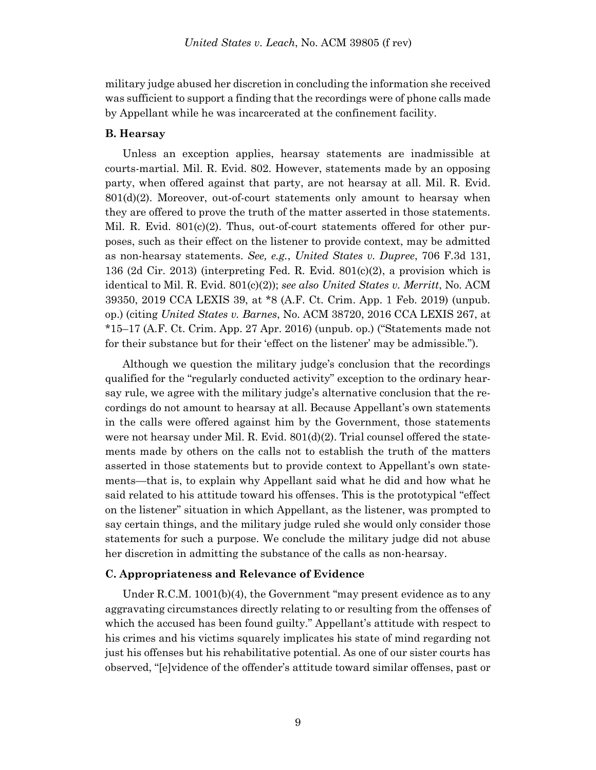military judge abused her discretion in concluding the information she received was sufficient to support a finding that the recordings were of phone calls made by Appellant while he was incarcerated at the confinement facility.

## **B. Hearsay**

Unless an exception applies, hearsay statements are inadmissible at courts-martial. Mil. R. Evid. 802. However, statements made by an opposing party, when offered against that party, are not hearsay at all. Mil. R. Evid. 801(d)(2). Moreover, out-of-court statements only amount to hearsay when they are offered to prove the truth of the matter asserted in those statements. Mil. R. Evid.  $801(c)(2)$ . Thus, out-of-court statements offered for other purposes, such as their effect on the listener to provide context, may be admitted as non-hearsay statements. *See, e.g.*, *United States v. Dupree*, 706 F.3d 131, 136 (2d Cir. 2013) (interpreting Fed. R. Evid. 801(c)(2), a provision which is identical to Mil. R. Evid. 801(c)(2)); *see also United States v. Merritt*, No. ACM 39350, 2019 CCA LEXIS 39, at \*8 (A.F. Ct. Crim. App. 1 Feb. 2019) (unpub. op.) (citing *United States v. Barnes*, No. ACM 38720, 2016 CCA LEXIS 267, at \*15–17 (A.F. Ct. Crim. App. 27 Apr. 2016) (unpub. op.) ("Statements made not for their substance but for their 'effect on the listener' may be admissible.").

Although we question the military judge's conclusion that the recordings qualified for the "regularly conducted activity" exception to the ordinary hearsay rule, we agree with the military judge's alternative conclusion that the recordings do not amount to hearsay at all. Because Appellant's own statements in the calls were offered against him by the Government, those statements were not hearsay under Mil. R. Evid. 801(d)(2). Trial counsel offered the statements made by others on the calls not to establish the truth of the matters asserted in those statements but to provide context to Appellant's own statements—that is, to explain why Appellant said what he did and how what he said related to his attitude toward his offenses. This is the prototypical "effect on the listener" situation in which Appellant, as the listener, was prompted to say certain things, and the military judge ruled she would only consider those statements for such a purpose. We conclude the military judge did not abuse her discretion in admitting the substance of the calls as non-hearsay.

#### **C. Appropriateness and Relevance of Evidence**

Under R.C.M. 1001(b)(4), the Government "may present evidence as to any aggravating circumstances directly relating to or resulting from the offenses of which the accused has been found guilty." Appellant's attitude with respect to his crimes and his victims squarely implicates his state of mind regarding not just his offenses but his rehabilitative potential. As one of our sister courts has observed, "[e]vidence of the offender's attitude toward similar offenses, past or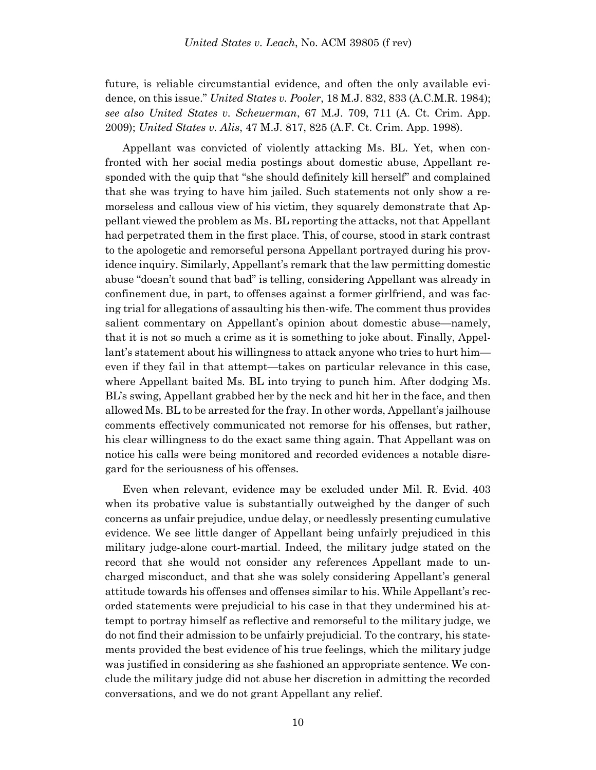future, is reliable circumstantial evidence, and often the only available evidence, on this issue." *United States v. Pooler*, 18 M.J. 832, 833 (A.C.M.R. 1984); *see also United States v. Scheuerman*, 67 M.J. 709, 711 (A. Ct. Crim. App. 2009); *United States v. Alis*, 47 M.J. 817, 825 (A.F. Ct. Crim. App. 1998).

Appellant was convicted of violently attacking Ms. BL. Yet, when confronted with her social media postings about domestic abuse, Appellant responded with the quip that "she should definitely kill herself" and complained that she was trying to have him jailed. Such statements not only show a remorseless and callous view of his victim, they squarely demonstrate that Appellant viewed the problem as Ms. BL reporting the attacks, not that Appellant had perpetrated them in the first place. This, of course, stood in stark contrast to the apologetic and remorseful persona Appellant portrayed during his providence inquiry. Similarly, Appellant's remark that the law permitting domestic abuse "doesn't sound that bad" is telling, considering Appellant was already in confinement due, in part, to offenses against a former girlfriend, and was facing trial for allegations of assaulting his then-wife. The comment thus provides salient commentary on Appellant's opinion about domestic abuse—namely, that it is not so much a crime as it is something to joke about. Finally, Appellant's statement about his willingness to attack anyone who tries to hurt him even if they fail in that attempt—takes on particular relevance in this case, where Appellant baited Ms. BL into trying to punch him. After dodging Ms. BL's swing, Appellant grabbed her by the neck and hit her in the face, and then allowed Ms. BL to be arrested for the fray. In other words, Appellant's jailhouse comments effectively communicated not remorse for his offenses, but rather, his clear willingness to do the exact same thing again. That Appellant was on notice his calls were being monitored and recorded evidences a notable disregard for the seriousness of his offenses.

Even when relevant, evidence may be excluded under Mil. R. Evid. 403 when its probative value is substantially outweighed by the danger of such concerns as unfair prejudice, undue delay, or needlessly presenting cumulative evidence. We see little danger of Appellant being unfairly prejudiced in this military judge-alone court-martial. Indeed, the military judge stated on the record that she would not consider any references Appellant made to uncharged misconduct, and that she was solely considering Appellant's general attitude towards his offenses and offenses similar to his. While Appellant's recorded statements were prejudicial to his case in that they undermined his attempt to portray himself as reflective and remorseful to the military judge, we do not find their admission to be unfairly prejudicial. To the contrary, his statements provided the best evidence of his true feelings, which the military judge was justified in considering as she fashioned an appropriate sentence. We conclude the military judge did not abuse her discretion in admitting the recorded conversations, and we do not grant Appellant any relief.